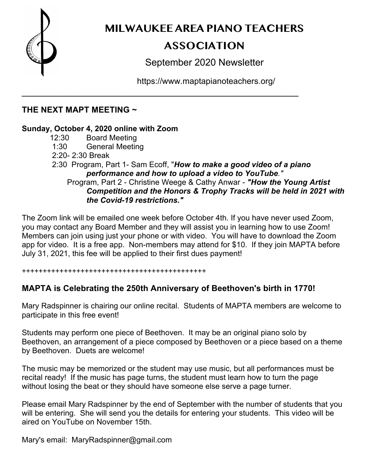

**MILWAUKEE AREA PIANO TEACHERS** 

# **ASSOCIATION**

September 2020 Newsletter

https://www.maptapianoteachers.org/

### **THE NEXT MAPT MEETING ~**

### **Sunday, October 4, 2020 online with Zoom**

- 12:30 Board Meeting
- 1:30 General Meeting
- 2:20- 2:30 Break
- 2:30 Program, Part 1- Sam Ecoff, "*How to make a good video of a piano performance and how to upload a video to YouTube."*

\_\_\_\_\_\_\_\_\_\_\_\_\_\_\_\_\_\_\_\_\_\_\_\_\_\_\_\_\_\_\_\_\_\_\_\_\_\_\_\_\_\_\_\_\_\_\_\_\_\_\_\_

### Program, Part 2 - Christine Weege & Cathy Anwar - *"How the Young Artist Competition and the Honors & Trophy Tracks will be held in 2021 with the Covid-19 restrictions."*

The Zoom link will be emailed one week before October 4th. If you have never used Zoom, you may contact any Board Member and they will assist you in learning how to use Zoom! Members can join using just your phone or with video. You will have to download the Zoom app for video. It is a free app. Non-members may attend for \$10. If they join MAPTA before July 31, 2021, this fee will be applied to their first dues payment!

++++++++++++++++++++++++++++++++++++++++++++

## **MAPTA is Celebrating the 250th Anniversary of Beethoven's birth in 1770!**

Mary Radspinner is chairing our online recital. Students of MAPTA members are welcome to participate in this free event!

Students may perform one piece of Beethoven. It may be an original piano solo by Beethoven, an arrangement of a piece composed by Beethoven or a piece based on a theme by Beethoven. Duets are welcome!

The music may be memorized or the student may use music, but all performances must be recital ready! If the music has page turns, the student must learn how to turn the page without losing the beat or they should have someone else serve a page turner.

Please email Mary Radspinner by the end of September with the number of students that you will be entering. She will send you the details for entering your students. This video will be aired on YouTube on November 15th.

Mary's email: MaryRadspinner@gmail.com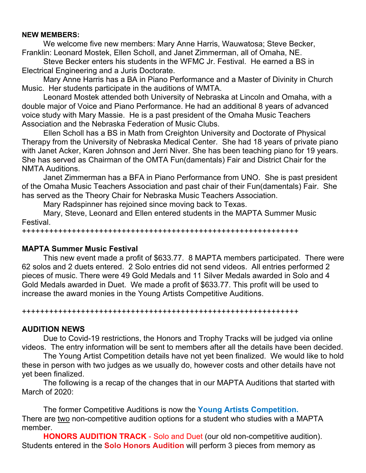#### **NEW MEMBERS:**

We welcome five new members: Mary Anne Harris, Wauwatosa; Steve Becker, Franklin: Leonard Mostek, Ellen Scholl, and Janet Zimmerman, all of Omaha, NE.

Steve Becker enters his students in the WFMC Jr. Festival. He earned a BS in Electrical Engineering and a Juris Doctorate.

Mary Anne Harris has a BA in Piano Performance and a Master of Divinity in Church Music. Her students participate in the auditions of WMTA.

Leonard Mostek attended both University of Nebraska at Lincoln and Omaha, with a double major of Voice and Piano Performance. He had an additional 8 years of advanced voice study with Mary Massie. He is a past president of the Omaha Music Teachers Association and the Nebraska Federation of Music Clubs.

Ellen Scholl has a BS in Math from Creighton University and Doctorate of Physical Therapy from the University of Nebraska Medical Center. She had 18 years of private piano with Janet Acker, Karen Johnson and Jerri Niver. She has been teaching piano for 19 years. She has served as Chairman of the OMTA Fun(damentals) Fair and District Chair for the NMTA Auditions.

Janet Zimmerman has a BFA in Piano Performance from UNO. She is past president of the Omaha Music Teachers Association and past chair of their Fun(damentals) Fair. She has served as the Theory Chair for Nebraska Music Teachers Association.

Mary Radspinner has rejoined since moving back to Texas.

Mary, Steve, Leonard and Ellen entered students in the MAPTA Summer Music Festival.

+++++++++++++++++++++++++++++++++++++++++++++++++++++++++++++

#### **MAPTA Summer Music Festival**

This new event made a profit of \$633.77. 8 MAPTA members participated. There were 62 solos and 2 duets entered. 2 Solo entries did not send videos. All entries performed 2 pieces of music. There were 49 Gold Medals and 11 Silver Medals awarded in Solo and 4 Gold Medals awarded in Duet. We made a profit of \$633.77. This profit will be used to increase the award monies in the Young Artists Competitive Auditions.

+++++++++++++++++++++++++++++++++++++++++++++++++++++++++++++

#### **AUDITION NEWS**

Due to Covid-19 restrictions, the Honors and Trophy Tracks will be judged via online videos. The entry information will be sent to members after all the details have been decided.

The Young Artist Competition details have not yet been finalized. We would like to hold these in person with two judges as we usually do, however costs and other details have not yet been finalized.

The following is a recap of the changes that in our MAPTA Auditions that started with March of 2020:

The former Competitive Auditions is now the **Young Artists Competition.** There are two non-competitive audition options for a student who studies with a MAPTA member.

**HONORS AUDITION TRACK** - Solo and Duet (our old non-competitive audition). Students entered in the **Solo Honors Audition** will perform 3 pieces from memory as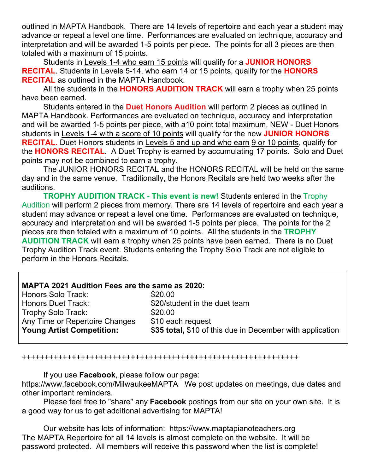outlined in MAPTA Handbook. There are 14 levels of repertoire and each year a student may advance or repeat a level one time. Performances are evaluated on technique, accuracy and interpretation and will be awarded 1-5 points per piece. The points for all 3 pieces are then totaled with a maximum of 15 points.

Students in Levels 1-4 who earn 15 points will qualify for a **JUNIOR HONORS RECITAL**. Students in Levels 5-14, who earn 14 or 15 points, qualify for the **HONORS RECITAL** as outlined in the MAPTA Handbook.

All the students in the **HONORS AUDITION TRACK** will earn a trophy when 25 points have been earned.

Students entered in the **Duet Honors Audition** will perform 2 pieces as outlined in MAPTA Handbook. Performances are evaluated on technique, accuracy and interpretation and will be awarded 1-5 points per piece, with a10 point total maximum. NEW - Duet Honors students in Levels 1-4 with a score of 10 points will qualify for the new **JUNIOR HONORS RECITAL.** Duet Honors students in Levels 5 and up and who earn 9 or 10 points, qualify for the **HONORS RECITAL**. A Duet Trophy is earned by accumulating 17 points. Solo and Duet points may not be combined to earn a trophy.

The JUNIOR HONORS RECITAL and the HONORS RECITAL will be held on the same day and in the same venue. Traditionally, the Honors Recitals are held two weeks after the auditions.

**TROPHY AUDITION TRACK - This event is new!** Students entered in the Trophy Audition will perform 2 pieces from memory. There are 14 levels of repertoire and each year a student may advance or repeat a level one time. Performances are evaluated on technique, accuracy and interpretation and will be awarded 1-5 points per piece. The points for the 2 pieces are then totaled with a maximum of 10 points. All the students in the **TROPHY AUDITION TRACK** will earn a trophy when 25 points have been earned. There is no Duet Trophy Audition Track event. Students entering the Trophy Solo Track are not eligible to perform in the Honors Recitals.

#### **MAPTA 2021 Audition Fees are the same as 2020:**

| Honors Solo Track:               | \$20.00                                                   |
|----------------------------------|-----------------------------------------------------------|
| Honors Duet Track:               | \$20/student in the duet team                             |
| Trophy Solo Track:               | \$20.00                                                   |
| Any Time or Repertoire Changes   | \$10 each request                                         |
| <b>Young Artist Competition:</b> | \$35 total, \$10 of this due in December with application |
|                                  |                                                           |

+++++++++++++++++++++++++++++++++++++++++++++++++++++++++++++

If you use **Facebook**, please follow our page: https://www.facebook.com/MilwaukeeMAPTAWe post updates on meetings, due dates and other important reminders.

Please feel free to "share" any **Facebook** postings from our site on your own site. It is a good way for us to get additional advertising for MAPTA!

Our website has lots of information: https://www.maptapianoteachers.org The MAPTA Repertoire for all 14 levels is almost complete on the website. It will be password protected. All members will receive this password when the list is complete!